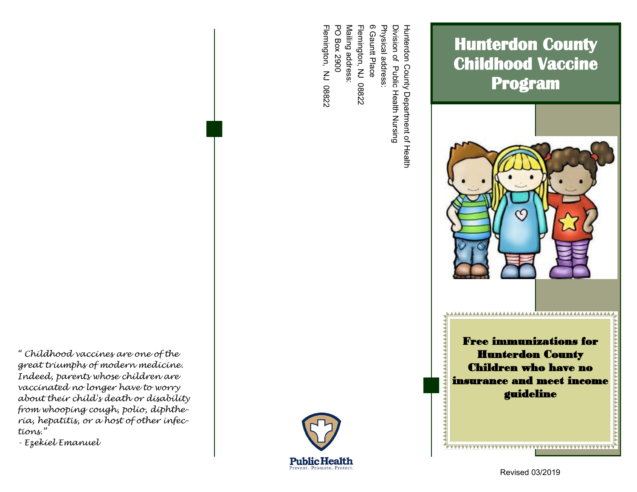*" Childhood vaccines are one of the great triumphs of modern medicine. Indeed, parents whose children are vaccinated no longer have to worry about their child's death or disability from whooping cough, polio, diphtheria, hepatitis, or a host of other infections."* 

*- Ezekiel Emanuel*



Flemington, NJ 08822

Flemington, NJ 08822

**Public Health** Prevent, Promote, Protect

PO Box 2900 Mailing address:

**PO Box 2900** Mailing address Flemington, NJ 08822

Flemington, NJ 08822

6 Gauntt Place Physical address:

Physical address:

6 Gauntt Place

Revised 03/2019